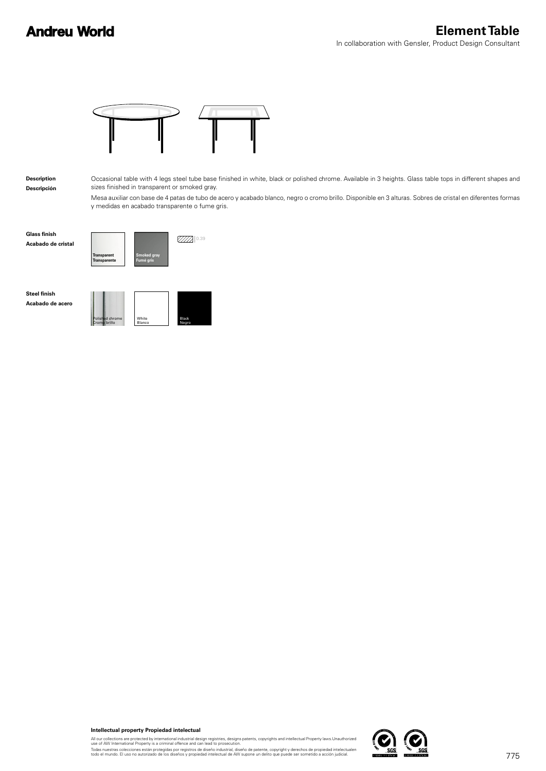## **Andreu World**



**Description Descripción** Occasional table with 4 legs steel tube base finished in white, black or polished chrome. Available in 3 heights. Glass table tops in different shapes and sizes finished in transparent or smoked gray.

Mesa auxiliar con base de 4 patas de tubo de acero y acabado blanco, negro o cromo brillo. Disponible en 3 alturas. Sobres de cristal en diferentes formas y medidas en acabado transparente o fume gris.

**Glass finish**



**Steel finish Acabado de acero**





**Intellectual property Propiedad intelectual**

All our collections are protected by international industrial design registries, designs patents, copyrights and intellectual Property laws.Unauthorized<br>use of AW International Property is a criminal offence and can lead t

Todas nuestras colecciones están protegidas por registros de diseño industrial, diseño de patente, copyright y derechos de propiedad intelectualen<br>todo el mundo. El uso no autorizado de los diseños y propiedad intelectual

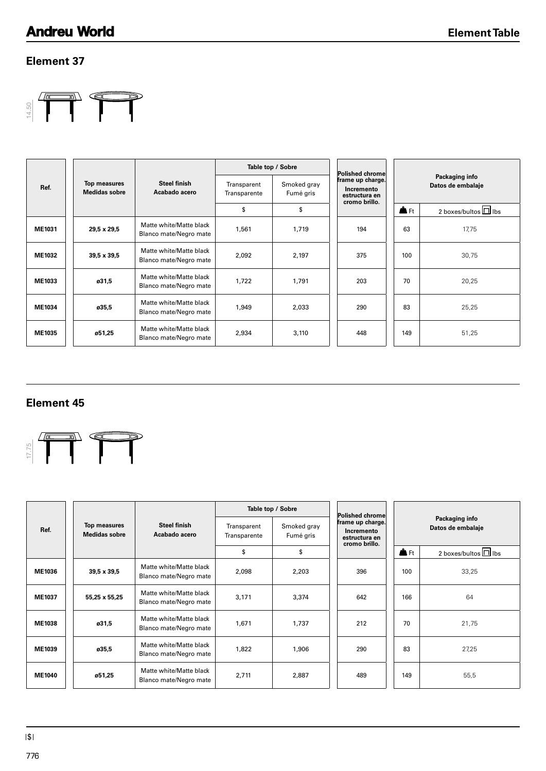#### **Element 37**



|               |                                             |                                                   |                             | Table top / Sobre        | Polished chrome                                                  |                |                                     |
|---------------|---------------------------------------------|---------------------------------------------------|-----------------------------|--------------------------|------------------------------------------------------------------|----------------|-------------------------------------|
| Ref.          | <b>Top measures</b><br><b>Medidas sobre</b> | <b>Steel finish</b><br>Acabado acero              | Transparent<br>Transparente | Smoked gray<br>Fumé gris | frame up charge.<br>Incremento<br>estructura en<br>cromo brillo. |                | Packaging info<br>Datos de embalaje |
|               |                                             |                                                   | \$                          | \$                       |                                                                  | $\triangle$ Ft | 2 boxes/bultos $\Box$ lbs           |
| ME1031        | 29,5 x 29,5                                 | Matte white/Matte black<br>Blanco mate/Negro mate | 1,561                       | 1,719                    | 194                                                              | 63             | 17,75                               |
| <b>ME1032</b> | 39,5 x 39,5                                 | Matte white/Matte black<br>Blanco mate/Negro mate | 2,092                       | 2,197                    | 375                                                              | 100            | 30,75                               |
| ME1033        | ø31,5                                       | Matte white/Matte black<br>Blanco mate/Negro mate | 1,722                       | 1.791                    | 203                                                              | 70             | 20,25                               |
| ME1034        | ø35,5                                       | Matte white/Matte black<br>Blanco mate/Negro mate | 1,949                       | 2,033                    | 290                                                              | 83             | 25,25                               |
| ME1035        | ø51,25                                      | Matte white/Matte black<br>Blanco mate/Negro mate | 2,934                       | 3,110                    | 448                                                              | 149            | 51,25                               |

#### **Element 45**



|                           |                                      |                                                   |                             | Table top / Sobre        | Polished chrome                                                    |                |                                     |
|---------------------------|--------------------------------------|---------------------------------------------------|-----------------------------|--------------------------|--------------------------------------------------------------------|----------------|-------------------------------------|
| Ref.                      | Top measures<br><b>Medidas sobre</b> | <b>Steel finish</b><br>Acabado acero              | Transparent<br>Transparente | Smoked gray<br>Fumé gris | frame up charge.<br>Incremento<br>estructura en<br>cromo brillo.   |                | Packaging info<br>Datos de embalaje |
|                           |                                      |                                                   | \$                          | \$                       |                                                                    | $\triangle$ Ft | 2 boxes/bultos $\square$ lbs        |
| ME1031                    | 29,5 x 29,5                          | Matte white/Matte black<br>Blanco mate/Negro mate | 1,561                       | 1,719                    | 194                                                                | 63             | 17,75                               |
| ME1032                    | 39,5 x 39,5                          | Matte white/Matte black<br>Blanco mate/Negro mate | 2,092                       | 2,197                    | 375                                                                | 100            | 30,75                               |
| ME1033                    | ø31,5                                | Matte white/Matte black<br>Blanco mate/Negro mate | 1,722                       | 1,791                    | 203                                                                | 70             | 20,25                               |
| ME1034                    | ø35,5                                | Matte white/Matte black<br>Blanco mate/Negro mate | 1,949                       | 2,033                    | 290                                                                | 83             | 25,25                               |
| ME1035                    | ø51,25                               | Matte white/Matte black<br>Blanco mate/Negro mate | 2,934                       | 3,110                    | 448                                                                | 149            | 51,25                               |
|                           |                                      |                                                   |                             |                          |                                                                    |                |                                     |
|                           |                                      |                                                   |                             | Table top / Sobre        |                                                                    |                |                                     |
| <b>Element 45</b><br>Ref. | Top measures<br><b>Medidas sobre</b> | <b>Steel finish</b><br>Acabado acero              | Transparent<br>Transparente | Smoked gray<br>Fumé gris | Polished chrome<br>frame up charge.<br>Incremento<br>estructura en |                | Packaging info<br>Datos de embalaje |
|                           |                                      |                                                   | \$                          | \$                       | cromo brillo.                                                      | <b>A</b> Ft    | 2 boxes/bultos U lbs                |
|                           | 39,5 x 39,5                          | Matte white/Matte black<br>Blanco mate/Negro mate | 2,098                       | 2,203                    | 396                                                                | 100            | 33,25                               |
| ME1036<br>ME1037          | 55,25 x 55,25                        | Matte white/Matte black<br>Blanco mate/Negro mate | 3,171                       | 3,374                    | 642                                                                | 166            | 64                                  |
|                           | ø31,5                                | Matte white/Matte black<br>Blanco mate/Negro mate | 1,671                       | 1,737                    | 212                                                                | 70             | 21,75                               |
| <b>ME1038</b><br>ME1039   | ø35,5                                | Matte white/Matte black<br>Blanco mate/Negro mate | 1,822                       | 1,906                    | 290                                                                | 83             | 27,25                               |